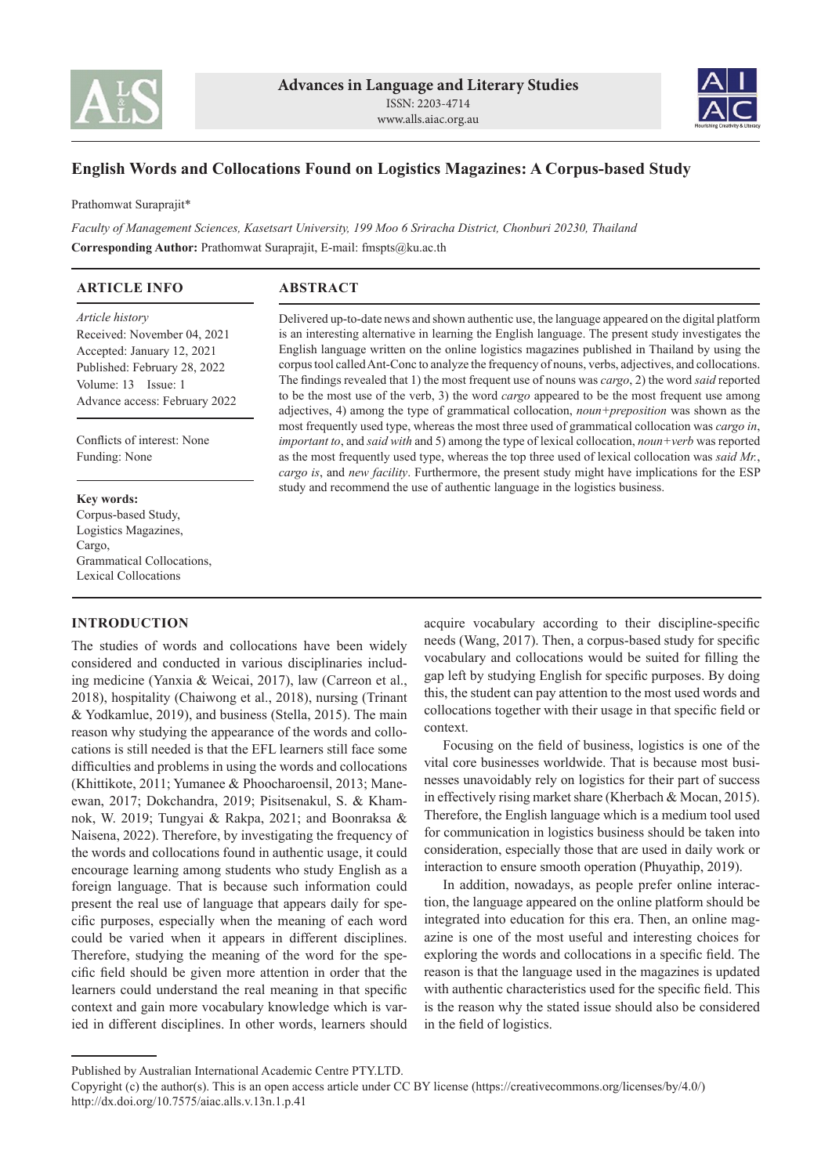



# **English Words and Collocations Found on Logistics Magazines: A Corpus-based Study**

Prathomwat Suraprajit\*

*Faculty of Management Sciences, Kasetsart University, 199 Moo 6 Sriracha District, Chonburi 20230, Thailand* **Corresponding Author:** Prathomwat Suraprajit, E-mail: fmspts@ku.ac.th

### **ARTICLE INFO**

**ABSTRACT**

*Article history* Received: November 04, 2021 Accepted: January 12, 2021 Published: February 28, 2022 Volume: 13 Issue: 1 Advance access: February 2022

Conflicts of interest: None Funding: None

#### **Key words:**

Corpus-based Study, Logistics Magazines, Cargo, Grammatical Collocations, Lexical Collocations

### **INTRODUCTION**

The studies of words and collocations have been widely considered and conducted in various disciplinaries including medicine (Yanxia & Weicai, 2017), law (Carreon et al., 2018), hospitality (Chaiwong et al., 2018), nursing (Trinant & Yodkamlue, 2019), and business (Stella, 2015). The main reason why studying the appearance of the words and collocations is still needed is that the EFL learners still face some difficulties and problems in using the words and collocations (Khittikote, 2011; Yumanee & Phoocharoensil, 2013; Maneewan, 2017; Dokchandra, 2019; Pisitsenakul, S. & Khamnok, W. 2019; Tungyai & Rakpa, 2021; and Boonraksa & Naisena, 2022). Therefore, by investigating the frequency of the words and collocations found in authentic usage, it could encourage learning among students who study English as a foreign language. That is because such information could present the real use of language that appears daily for specific purposes, especially when the meaning of each word could be varied when it appears in different disciplines. Therefore, studying the meaning of the word for the specific field should be given more attention in order that the learners could understand the real meaning in that specific context and gain more vocabulary knowledge which is varied in different disciplines. In other words, learners should

Delivered up-to-date news and shown authentic use, the language appeared on the digital platform is an interesting alternative in learning the English language. The present study investigates the English language written on the online logistics magazines published in Thailand by using the corpus tool called Ant-Conc to analyze the frequency of nouns, verbs, adjectives, and collocations. The findings revealed that 1) the most frequent use of nouns was *cargo*, 2) the word *said* reported to be the most use of the verb, 3) the word *cargo* appeared to be the most frequent use among adjectives, 4) among the type of grammatical collocation, *noun+preposition* was shown as the most frequently used type, whereas the most three used of grammatical collocation was *cargo in*, *important to*, and *said with* and 5) among the type of lexical collocation, *noun+verb* was reported as the most frequently used type, whereas the top three used of lexical collocation was *said Mr.*, *cargo is*, and *new facility*. Furthermore, the present study might have implications for the ESP study and recommend the use of authentic language in the logistics business.

> acquire vocabulary according to their discipline-specific needs (Wang, 2017). Then, a corpus-based study for specific vocabulary and collocations would be suited for filling the gap left by studying English for specific purposes. By doing this, the student can pay attention to the most used words and collocations together with their usage in that specific field or context.

> Focusing on the field of business, logistics is one of the vital core businesses worldwide. That is because most businesses unavoidably rely on logistics for their part of success in effectively rising market share (Kherbach & Mocan, 2015). Therefore, the English language which is a medium tool used for communication in logistics business should be taken into consideration, especially those that are used in daily work or interaction to ensure smooth operation (Phuyathip, 2019).

> In addition, nowadays, as people prefer online interaction, the language appeared on the online platform should be integrated into education for this era. Then, an online magazine is one of the most useful and interesting choices for exploring the words and collocations in a specific field. The reason is that the language used in the magazines is updated with authentic characteristics used for the specific field. This is the reason why the stated issue should also be considered in the field of logistics.

Published by Australian International Academic Centre PTY.LTD.

Copyright (c) the author(s). This is an open access article under CC BY license (https://creativecommons.org/licenses/by/4.0/) http://dx.doi.org/10.7575/aiac.alls.v.13n.1.p.41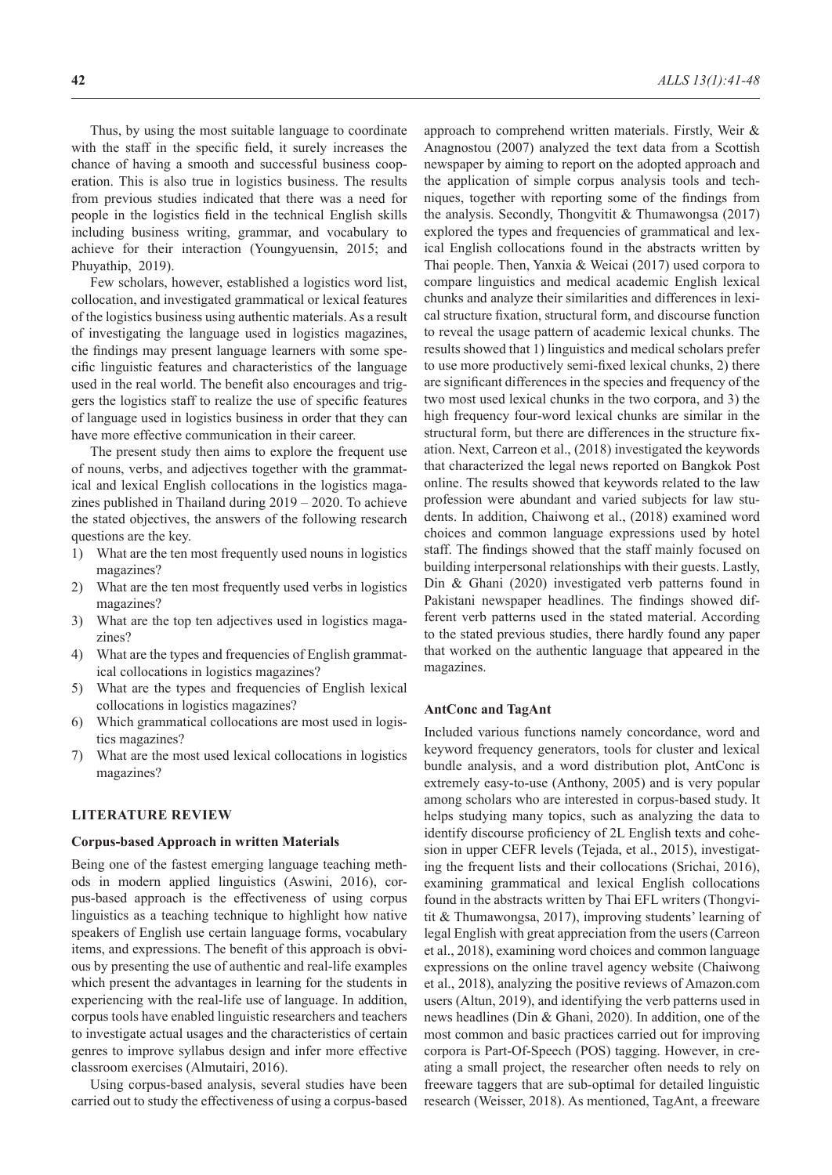Thus, by using the most suitable language to coordinate with the staff in the specific field, it surely increases the chance of having a smooth and successful business cooperation. This is also true in logistics business. The results from previous studies indicated that there was a need for people in the logistics field in the technical English skills including business writing, grammar, and vocabulary to achieve for their interaction (Youngyuensin, 2015; and Phuyathip, 2019).

Few scholars, however, established a logistics word list, collocation, and investigated grammatical or lexical features of the logistics business using authentic materials. As a result of investigating the language used in logistics magazines, the findings may present language learners with some specific linguistic features and characteristics of the language used in the real world. The benefit also encourages and triggers the logistics staff to realize the use of specific features of language used in logistics business in order that they can have more effective communication in their career.

The present study then aims to explore the frequent use of nouns, verbs, and adjectives together with the grammatical and lexical English collocations in the logistics magazines published in Thailand during 2019 – 2020. To achieve the stated objectives, the answers of the following research questions are the key.

- 1) What are the ten most frequently used nouns in logistics magazines?
- 2) What are the ten most frequently used verbs in logistics magazines?
- 3) What are the top ten adjectives used in logistics magazines?
- 4) What are the types and frequencies of English grammatical collocations in logistics magazines?
- 5) What are the types and frequencies of English lexical collocations in logistics magazines?
- 6) Which grammatical collocations are most used in logistics magazines?
- 7) What are the most used lexical collocations in logistics magazines?

### **LITERATURE REVIEW**

#### **Corpus-based Approach in written Materials**

Being one of the fastest emerging language teaching methods in modern applied linguistics (Aswini, 2016), corpus-based approach is the effectiveness of using corpus linguistics as a teaching technique to highlight how native speakers of English use certain language forms, vocabulary items, and expressions. The benefit of this approach is obvious by presenting the use of authentic and real-life examples which present the advantages in learning for the students in experiencing with the real-life use of language. In addition, corpus tools have enabled linguistic researchers and teachers to investigate actual usages and the characteristics of certain genres to improve syllabus design and infer more effective classroom exercises (Almutairi, 2016).

Using corpus-based analysis, several studies have been carried out to study the effectiveness of using a corpus-based approach to comprehend written materials. Firstly, Weir & Anagnostou (2007) analyzed the text data from a Scottish newspaper by aiming to report on the adopted approach and the application of simple corpus analysis tools and techniques, together with reporting some of the findings from the analysis. Secondly, Thongvitit & Thumawongsa (2017) explored the types and frequencies of grammatical and lexical English collocations found in the abstracts written by Thai people. Then, Yanxia & Weicai (2017) used corpora to compare linguistics and medical academic English lexical chunks and analyze their similarities and differences in lexical structure fixation, structural form, and discourse function to reveal the usage pattern of academic lexical chunks. The results showed that 1) linguistics and medical scholars prefer to use more productively semi-fixed lexical chunks, 2) there are significant differences in the species and frequency of the two most used lexical chunks in the two corpora, and 3) the high frequency four-word lexical chunks are similar in the structural form, but there are differences in the structure fixation. Next, Carreon et al., (2018) investigated the keywords that characterized the legal news reported on Bangkok Post online. The results showed that keywords related to the law profession were abundant and varied subjects for law students. In addition, Chaiwong et al., (2018) examined word choices and common language expressions used by hotel staff. The findings showed that the staff mainly focused on building interpersonal relationships with their guests. Lastly, Din & Ghani (2020) investigated verb patterns found in Pakistani newspaper headlines. The findings showed different verb patterns used in the stated material. According to the stated previous studies, there hardly found any paper that worked on the authentic language that appeared in the magazines.

### **AntConc and TagAnt**

Included various functions namely concordance, word and keyword frequency generators, tools for cluster and lexical bundle analysis, and a word distribution plot, AntConc is extremely easy-to-use (Anthony, 2005) and is very popular among scholars who are interested in corpus-based study. It helps studying many topics, such as analyzing the data to identify discourse proficiency of 2L English texts and cohesion in upper CEFR levels (Tejada, et al., 2015), investigating the frequent lists and their collocations (Srichai, 2016), examining grammatical and lexical English collocations found in the abstracts written by Thai EFL writers (Thongvitit & Thumawongsa, 2017), improving students' learning of legal English with great appreciation from the users (Carreon et al., 2018), examining word choices and common language expressions on the online travel agency website (Chaiwong et al., 2018), analyzing the positive reviews of Amazon.com users (Altun, 2019), and identifying the verb patterns used in news headlines (Din & Ghani, 2020). In addition, one of the most common and basic practices carried out for improving corpora is Part-Of-Speech (POS) tagging. However, in creating a small project, the researcher often needs to rely on freeware taggers that are sub-optimal for detailed linguistic research (Weisser, 2018). As mentioned, TagAnt, a freeware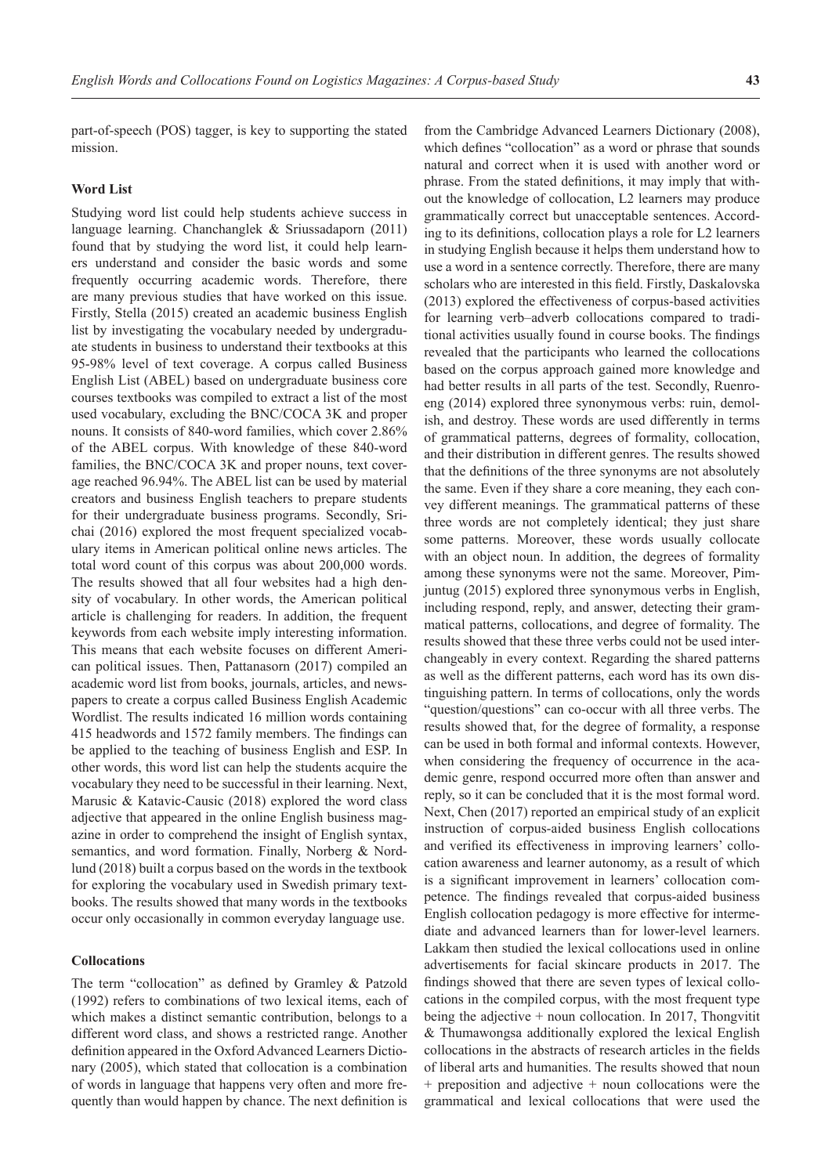part-of-speech (POS) tagger, is key to supporting the stated mission.

#### **Word List**

Studying word list could help students achieve success in language learning. Chanchanglek & Sriussadaporn (2011) found that by studying the word list, it could help learners understand and consider the basic words and some frequently occurring academic words. Therefore, there are many previous studies that have worked on this issue. Firstly, Stella (2015) created an academic business English list by investigating the vocabulary needed by undergraduate students in business to understand their textbooks at this 95-98% level of text coverage. A corpus called Business English List (ABEL) based on undergraduate business core courses textbooks was compiled to extract a list of the most used vocabulary, excluding the BNC/COCA 3K and proper nouns. It consists of 840-word families, which cover 2.86% of the ABEL corpus. With knowledge of these 840-word families, the BNC/COCA 3K and proper nouns, text coverage reached 96.94%. The ABEL list can be used by material creators and business English teachers to prepare students for their undergraduate business programs. Secondly, Srichai (2016) explored the most frequent specialized vocabulary items in American political online news articles. The total word count of this corpus was about 200,000 words. The results showed that all four websites had a high density of vocabulary. In other words, the American political article is challenging for readers. In addition, the frequent keywords from each website imply interesting information. This means that each website focuses on different American political issues. Then, Pattanasorn (2017) compiled an academic word list from books, journals, articles, and newspapers to create a corpus called Business English Academic Wordlist. The results indicated 16 million words containing 415 headwords and 1572 family members. The findings can be applied to the teaching of business English and ESP. In other words, this word list can help the students acquire the vocabulary they need to be successful in their learning. Next, Marusic & Katavic-Causic (2018) explored the word class adjective that appeared in the online English business magazine in order to comprehend the insight of English syntax, semantics, and word formation. Finally, Norberg & Nordlund (2018) built a corpus based on the words in the textbook for exploring the vocabulary used in Swedish primary textbooks. The results showed that many words in the textbooks occur only occasionally in common everyday language use.

### **Collocations**

The term "collocation" as defined by Gramley & Patzold (1992) refers to combinations of two lexical items, each of which makes a distinct semantic contribution, belongs to a different word class, and shows a restricted range. Another definition appeared in the Oxford Advanced Learners Dictionary (2005), which stated that collocation is a combination of words in language that happens very often and more frequently than would happen by chance. The next definition is

from the Cambridge Advanced Learners Dictionary (2008), which defines "collocation" as a word or phrase that sounds natural and correct when it is used with another word or phrase. From the stated definitions, it may imply that without the knowledge of collocation, L2 learners may produce grammatically correct but unacceptable sentences. According to its definitions, collocation plays a role for L2 learners in studying English because it helps them understand how to use a word in a sentence correctly. Therefore, there are many scholars who are interested in this field. Firstly, Daskalovska (2013) explored the effectiveness of corpus-based activities for learning verb–adverb collocations compared to traditional activities usually found in course books. The findings revealed that the participants who learned the collocations based on the corpus approach gained more knowledge and had better results in all parts of the test. Secondly, Ruenroeng (2014) explored three synonymous verbs: ruin, demolish, and destroy. These words are used differently in terms of grammatical patterns, degrees of formality, collocation, and their distribution in different genres. The results showed that the definitions of the three synonyms are not absolutely the same. Even if they share a core meaning, they each convey different meanings. The grammatical patterns of these three words are not completely identical; they just share some patterns. Moreover, these words usually collocate with an object noun. In addition, the degrees of formality among these synonyms were not the same. Moreover, Pimjuntug (2015) explored three synonymous verbs in English, including respond, reply, and answer, detecting their grammatical patterns, collocations, and degree of formality. The results showed that these three verbs could not be used interchangeably in every context. Regarding the shared patterns as well as the different patterns, each word has its own distinguishing pattern. In terms of collocations, only the words "question/questions" can co-occur with all three verbs. The results showed that, for the degree of formality, a response can be used in both formal and informal contexts. However, when considering the frequency of occurrence in the academic genre, respond occurred more often than answer and reply, so it can be concluded that it is the most formal word. Next, Chen (2017) reported an empirical study of an explicit instruction of corpus-aided business English collocations and verified its effectiveness in improving learners' collocation awareness and learner autonomy, as a result of which is a significant improvement in learners' collocation competence. The findings revealed that corpus-aided business English collocation pedagogy is more effective for intermediate and advanced learners than for lower-level learners. Lakkam then studied the lexical collocations used in online advertisements for facial skincare products in 2017. The findings showed that there are seven types of lexical collocations in the compiled corpus, with the most frequent type being the adjective  $+$  noun collocation. In 2017, Thongvitit & Thumawongsa additionally explored the lexical English collocations in the abstracts of research articles in the fields of liberal arts and humanities. The results showed that noun + preposition and adjective + noun collocations were the grammatical and lexical collocations that were used the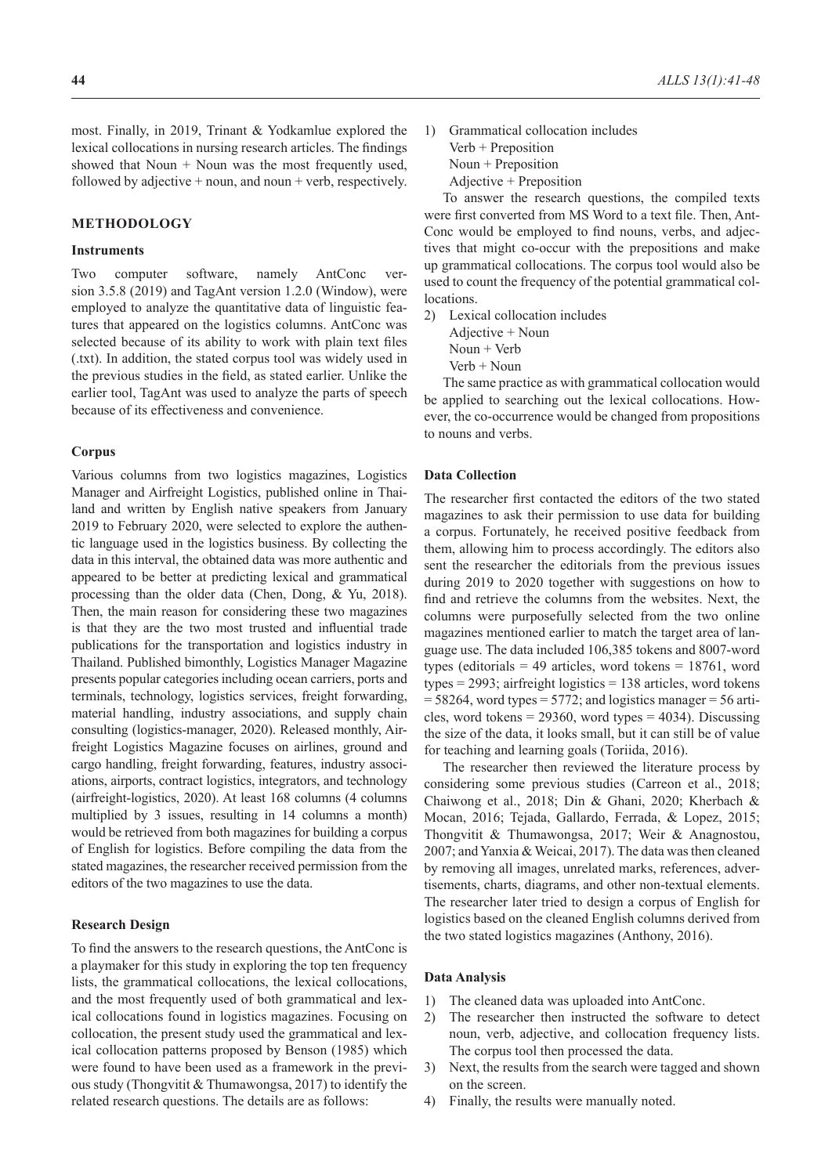most. Finally, in 2019, Trinant & Yodkamlue explored the lexical collocations in nursing research articles. The findings showed that Noun  $+$  Noun was the most frequently used, followed by adjective  $+$  noun, and noun  $+$  verb, respectively.

#### **METHODOLOGY**

### **Instruments**

Two computer software, namely AntConc version 3.5.8 (2019) and TagAnt version 1.2.0 (Window), were employed to analyze the quantitative data of linguistic features that appeared on the logistics columns. AntConc was selected because of its ability to work with plain text files (.txt). In addition, the stated corpus tool was widely used in the previous studies in the field, as stated earlier. Unlike the earlier tool, TagAnt was used to analyze the parts of speech because of its effectiveness and convenience.

#### **Corpus**

Various columns from two logistics magazines, Logistics Manager and Airfreight Logistics, published online in Thailand and written by English native speakers from January 2019 to February 2020, were selected to explore the authentic language used in the logistics business. By collecting the data in this interval, the obtained data was more authentic and appeared to be better at predicting lexical and grammatical processing than the older data (Chen, Dong, & Yu, 2018). Then, the main reason for considering these two magazines is that they are the two most trusted and influential trade publications for the transportation and logistics industry in Thailand. Published bimonthly, Logistics Manager Magazine presents popular categories including ocean carriers, ports and terminals, technology, logistics services, freight forwarding, material handling, industry associations, and supply chain consulting (logistics-manager, 2020). Released monthly, Airfreight Logistics Magazine focuses on airlines, ground and cargo handling, freight forwarding, features, industry associations, airports, contract logistics, integrators, and technology (airfreight-logistics, 2020). At least 168 columns (4 columns multiplied by 3 issues, resulting in 14 columns a month) would be retrieved from both magazines for building a corpus of English for logistics. Before compiling the data from the stated magazines, the researcher received permission from the editors of the two magazines to use the data.

#### **Research Design**

To find the answers to the research questions, the AntConc is a playmaker for this study in exploring the top ten frequency lists, the grammatical collocations, the lexical collocations, and the most frequently used of both grammatical and lexical collocations found in logistics magazines. Focusing on collocation, the present study used the grammatical and lexical collocation patterns proposed by Benson (1985) which were found to have been used as a framework in the previous study (Thongvitit & Thumawongsa, 2017) to identify the related research questions. The details are as follows:

1) Grammatical collocation includes Verb + Preposition Noun + Preposition Adjective + Preposition

To answer the research questions, the compiled texts were first converted from MS Word to a text file. Then, Ant-Conc would be employed to find nouns, verbs, and adjectives that might co-occur with the prepositions and make up grammatical collocations. The corpus tool would also be used to count the frequency of the potential grammatical col**locations** 

2) Lexical collocation includes Adjective + Noun Noun + Verb Verb + Noun

The same practice as with grammatical collocation would be applied to searching out the lexical collocations. However, the co-occurrence would be changed from propositions to nouns and verbs.

### **Data Collection**

The researcher first contacted the editors of the two stated magazines to ask their permission to use data for building a corpus. Fortunately, he received positive feedback from them, allowing him to process accordingly. The editors also sent the researcher the editorials from the previous issues during 2019 to 2020 together with suggestions on how to find and retrieve the columns from the websites. Next, the columns were purposefully selected from the two online magazines mentioned earlier to match the target area of language use. The data included 106,385 tokens and 8007-word types (editorials = 49 articles, word tokens = 18761, word types = 2993; airfreight logistics = 138 articles, word tokens  $= 58264$ , word types  $= 5772$ ; and logistics manager  $= 56$  articles, word tokens =  $29360$ , word types =  $4034$ ). Discussing the size of the data, it looks small, but it can still be of value for teaching and learning goals (Toriida, 2016).

The researcher then reviewed the literature process by considering some previous studies (Carreon et al., 2018; Chaiwong et al., 2018; Din & Ghani, 2020; Kherbach & Mocan, 2016; Tejada, Gallardo, Ferrada, & Lopez, 2015; Thongvitit & Thumawongsa, 2017; Weir & Anagnostou, 2007; and Yanxia & Weicai, 2017). The data was then cleaned by removing all images, unrelated marks, references, advertisements, charts, diagrams, and other non-textual elements. The researcher later tried to design a corpus of English for logistics based on the cleaned English columns derived from the two stated logistics magazines (Anthony, 2016).

#### **Data Analysis**

- 1) The cleaned data was uploaded into AntConc.
- 2) The researcher then instructed the software to detect noun, verb, adjective, and collocation frequency lists. The corpus tool then processed the data.
- 3) Next, the results from the search were tagged and shown on the screen.
- 4) Finally, the results were manually noted.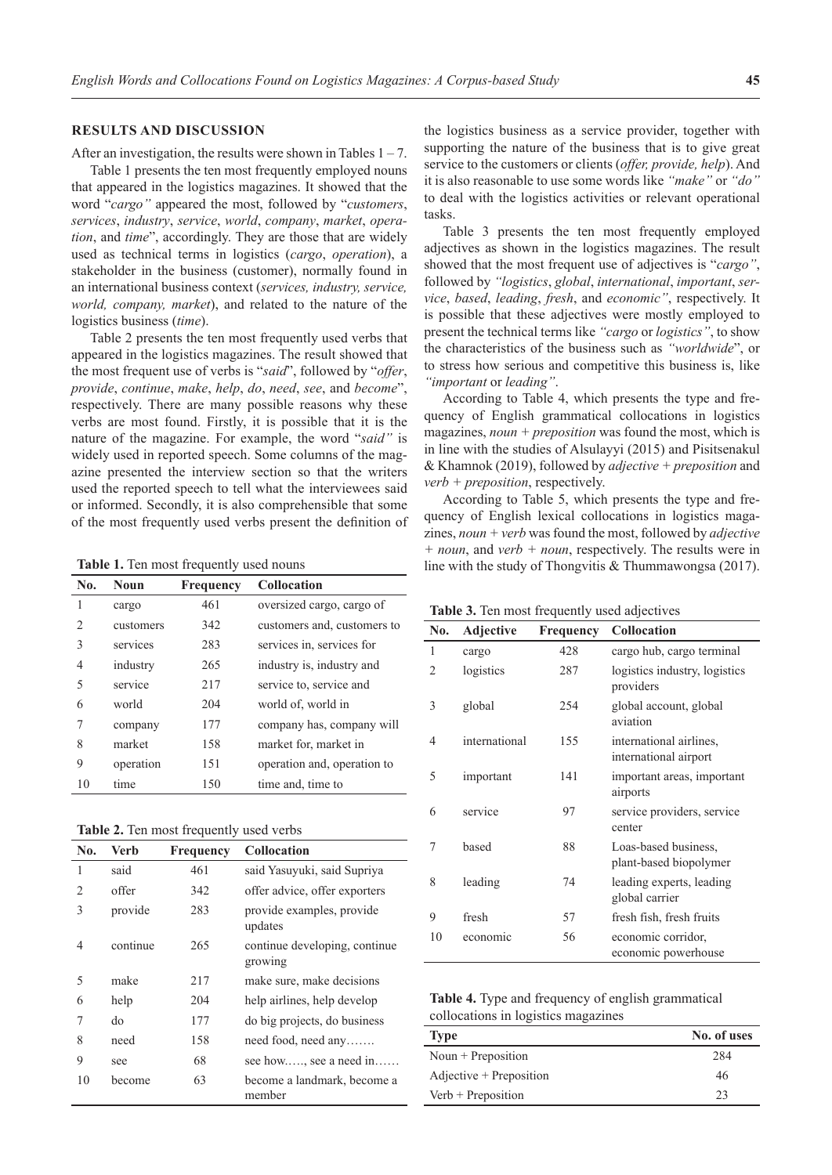#### **RESULTS AND DISCUSSION**

After an investigation, the results were shown in Tables  $1 - 7$ .

Table 1 presents the ten most frequently employed nouns that appeared in the logistics magazines. It showed that the word "*cargo"* appeared the most, followed by "*customers*, *services*, *industry*, *service*, *world*, *company*, *market*, *operation*, and *time*", accordingly. They are those that are widely used as technical terms in logistics (*cargo*, *operation*), a stakeholder in the business (customer), normally found in an international business context (*services, industry, service, world, company, market*), and related to the nature of the logistics business (*time*).

Table 2 presents the ten most frequently used verbs that appeared in the logistics magazines. The result showed that the most frequent use of verbs is "*said*", followed by "*offer*, *provide*, *continue*, *make*, *help*, *do*, *need*, *see*, and *become*", respectively. There are many possible reasons why these verbs are most found. Firstly, it is possible that it is the nature of the magazine. For example, the word "*said"* is widely used in reported speech. Some columns of the magazine presented the interview section so that the writers used the reported speech to tell what the interviewees said or informed. Secondly, it is also comprehensible that some of the most frequently used verbs present the definition of

| No. | <b>Noun</b> | Frequency | <b>Collocation</b>          |
|-----|-------------|-----------|-----------------------------|
| 1   | cargo       | 461       | oversized cargo, cargo of   |
| 2   | customers   | 342       | customers and, customers to |
| 3   | services    | 283       | services in, services for   |
| 4   | industry    | 265       | industry is, industry and   |
| 5   | service     | 217       | service to, service and     |
| 6   | world       | 204       | world of, world in          |
| 7   | company     | 177       | company has, company will   |
| 8   | market      | 158       | market for, market in       |
| 9   | operation   | 151       | operation and, operation to |
| 10  | time        | 150       | time and, time to           |

| <b>Table 2.</b> Ten most frequently used verbs |  |  |  |
|------------------------------------------------|--|--|--|
|------------------------------------------------|--|--|--|

| No. | <b>Verb</b> | Frequency | <b>Collocation</b>                       |
|-----|-------------|-----------|------------------------------------------|
| 1   | said        | 461       | said Yasuyuki, said Supriya              |
| 2   | offer       | 342       | offer advice, offer exporters            |
| 3   | provide     | 283       | provide examples, provide<br>updates     |
| 4   | continue    | 265       | continue developing, continue<br>growing |
| 5   | make        | 217       | make sure, make decisions                |
| 6   | help        | 204       | help airlines, help develop              |
| 7   | do          | 177       | do big projects, do business             |
| 8   | need        | 158       | $need$ food, need any                    |
| 9   | see         | 68        | see how, see a need in                   |
| 10  | become      | 63        | become a landmark, become a<br>member    |

the logistics business as a service provider, together with supporting the nature of the business that is to give great service to the customers or clients (*offer, provide, help*). And it is also reasonable to use some words like *"make"* or *"do"* to deal with the logistics activities or relevant operational tasks.

Table 3 presents the ten most frequently employed adjectives as shown in the logistics magazines. The result showed that the most frequent use of adjectives is "*cargo"*, followed by *"logistics*, *global*, *international*, *important*, *service*, *based*, *leading*, *fresh*, and *economic"*, respectively. It is possible that these adjectives were mostly employed to present the technical terms like *"cargo* or *logistics"*, to show the characteristics of the business such as *"worldwide*", or to stress how serious and competitive this business is, like *"important* or *leading"*.

According to Table 4, which presents the type and frequency of English grammatical collocations in logistics magazines, *noun + preposition* was found the most, which is in line with the studies of Alsulayyi (2015) and Pisitsenakul & Khamnok (2019), followed by *adjective + preposition* and *verb + preposition*, respectively.

According to Table 5, which presents the type and frequency of English lexical collocations in logistics magazines, *noun + verb* was found the most, followed by *adjective + noun*, and *verb + noun*, respectively. The results were in **Table 1.** Ten most frequently used nouns line with the study of Thongvitis & Thummawongsa (2017).

| Table 3. Ten most frequently used adjectives |  |  |  |
|----------------------------------------------|--|--|--|
|----------------------------------------------|--|--|--|

| No. | Adjective     | <b>Frequency</b> | Collocation                                      |
|-----|---------------|------------------|--------------------------------------------------|
| 1   | cargo         | 428              | cargo hub, cargo terminal                        |
| 2   | logistics     | 287              | logistics industry, logistics<br>providers       |
| 3   | global        | 254              | global account, global<br>aviation               |
| 4   | international | 155              | international airlines,<br>international airport |
| 5   | important     | 141              | important areas, important<br>airports           |
| 6   | service       | 97               | service providers, service<br>center             |
| 7   | based         | 88               | Loas-based business,<br>plant-based biopolymer   |
| 8   | leading       | 74               | leading experts, leading<br>global carrier       |
| 9   | fresh         | 57               | fresh fish, fresh fruits                         |
| 10  | economic      | 56               | economic corridor,<br>economic powerhouse        |

| <b>Table 4.</b> Type and frequency of english grammatical |  |
|-----------------------------------------------------------|--|
| collocations in logistics magazines                       |  |

| <b>Type</b>               | No. of uses |
|---------------------------|-------------|
| Noun $+$ Preposition      | 284         |
| $Adjective + Preposition$ | 46          |
| $Verb + Preposition$      | 23          |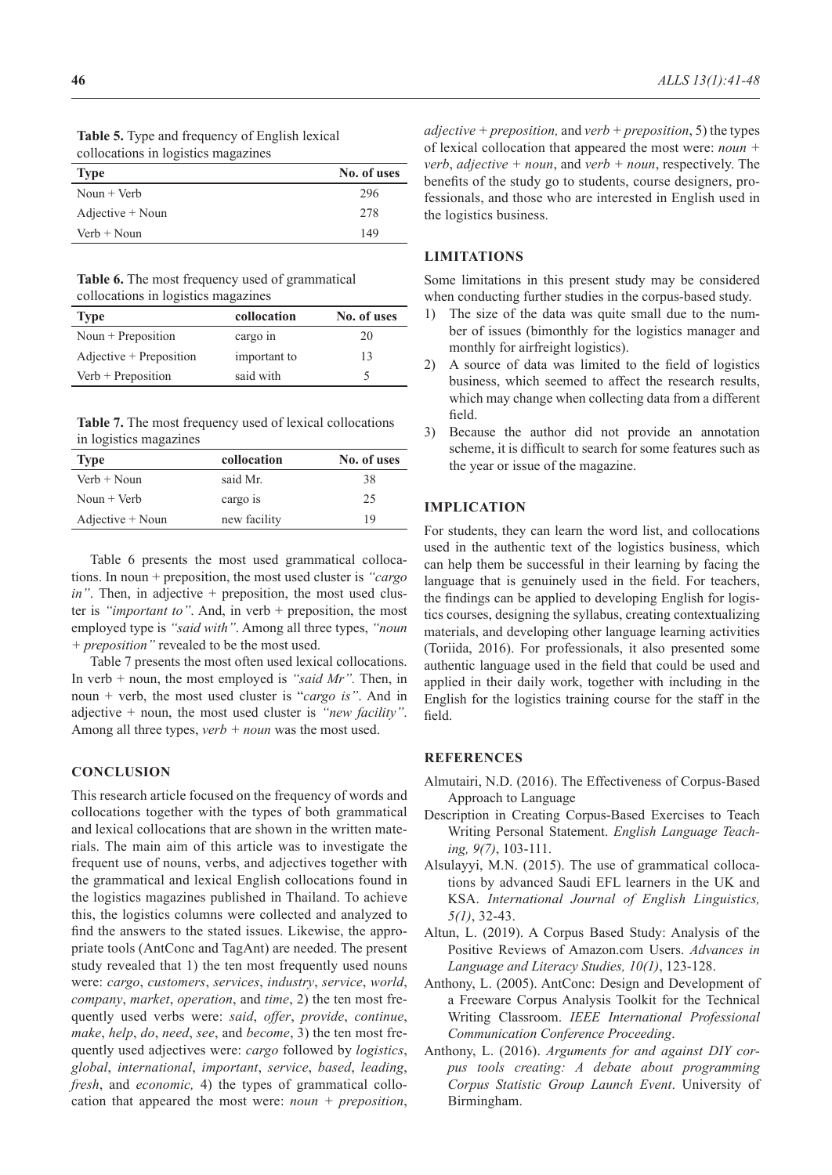| <b>Table 5.</b> Type and frequency of English lexical |  |
|-------------------------------------------------------|--|
| collocations in logistics magazines                   |  |

| <b>Type</b>        | No. of uses |
|--------------------|-------------|
| Noun $+$ Verb      | 296         |
| $Adjective + Noun$ | 278         |
| $Verb + Noun$      | 149         |

**Table 6.** The most frequency used of grammatical collocations in logistics magazines

| Type                      | collocation  | No. of uses |
|---------------------------|--------------|-------------|
| Noun $+$ Preposition      | cargo in     | 20          |
| $Adjective + Preposition$ | important to | 13          |
| $Verb + Preposition$      | said with    | ৲           |

**Table 7.** The most frequency used of lexical collocations in logistics magazines

| <b>Type</b>        | collocation  | No. of uses |
|--------------------|--------------|-------------|
| $Verb + Noun$      | said Mr.     | 38          |
| Noun $+$ Verb      | cargo is     | 25          |
| $Adjective + Noun$ | new facility | 19          |

Table 6 presents the most used grammatical collocations. In noun + preposition, the most used cluster is *"cargo in*". Then, in adjective + preposition, the most used cluster is *"important to"*. And, in verb + preposition, the most employed type is *"said with"*. Among all three types, *"noun + preposition"* revealed to be the most used.

Table 7 presents the most often used lexical collocations. In verb + noun, the most employed is *"said Mr".* Then, in noun + verb, the most used cluster is "*cargo is"*. And in adjective + noun, the most used cluster is *"new facility"*. Among all three types, *verb + noun* was the most used.

# **CONCLUSION**

This research article focused on the frequency of words and collocations together with the types of both grammatical and lexical collocations that are shown in the written materials. The main aim of this article was to investigate the frequent use of nouns, verbs, and adjectives together with the grammatical and lexical English collocations found in the logistics magazines published in Thailand. To achieve this, the logistics columns were collected and analyzed to find the answers to the stated issues. Likewise, the appropriate tools (AntConc and TagAnt) are needed. The present study revealed that 1) the ten most frequently used nouns were: *cargo*, *customers*, *services*, *industry*, *service*, *world*, *company*, *market*, *operation*, and *time*, 2) the ten most frequently used verbs were: *said*, *offer*, *provide*, *continue*, *make*, *help*, *do*, *need*, *see*, and *become*, 3) the ten most frequently used adjectives were: *cargo* followed by *logistics*, *global*, *international*, *important*, *service*, *based*, *leading*, *fresh*, and *economic,* 4) the types of grammatical collocation that appeared the most were: *noun + preposition*,

*adjective + preposition,* and *verb + preposition*, 5) the types of lexical collocation that appeared the most were: *noun + verb*, *adjective + noun*, and *verb + noun*, respectively. The benefits of the study go to students, course designers, professionals, and those who are interested in English used in the logistics business.

## **LIMITATIONS**

Some limitations in this present study may be considered when conducting further studies in the corpus-based study.

- 1) The size of the data was quite small due to the number of issues (bimonthly for the logistics manager and monthly for airfreight logistics).
- 2) A source of data was limited to the field of logistics business, which seemed to affect the research results, which may change when collecting data from a different field.
- 3) Because the author did not provide an annotation scheme, it is difficult to search for some features such as the year or issue of the magazine.

#### **IMPLICATION**

For students, they can learn the word list, and collocations used in the authentic text of the logistics business, which can help them be successful in their learning by facing the language that is genuinely used in the field. For teachers, the findings can be applied to developing English for logistics courses, designing the syllabus, creating contextualizing materials, and developing other language learning activities (Toriida, 2016). For professionals, it also presented some authentic language used in the field that could be used and applied in their daily work, together with including in the English for the logistics training course for the staff in the field.

# **REFERENCES**

- Almutairi, N.D. (2016). The Effectiveness of Corpus-Based Approach to Language
- Description in Creating Corpus-Based Exercises to Teach Writing Personal Statement. *English Language Teaching, 9(7)*, 103-111.
- Alsulayyi, M.N. (2015). The use of grammatical collocations by advanced Saudi EFL learners in the UK and KSA. *International Journal of English Linguistics, 5(1)*, 32-43.
- Altun, L. (2019). A Corpus Based Study: Analysis of the Positive Reviews of Amazon.com Users. *Advances in Language and Literacy Studies, 10(1)*, 123-128.
- Anthony, L. (2005). AntConc: Design and Development of a Freeware Corpus Analysis Toolkit for the Technical Writing Classroom. *IEEE International Professional Communication Conference Proceeding*.
- Anthony, L. (2016). *Arguments for and against DIY corpus tools creating: A debate about programming Corpus Statistic Group Launch Event*. University of Birmingham.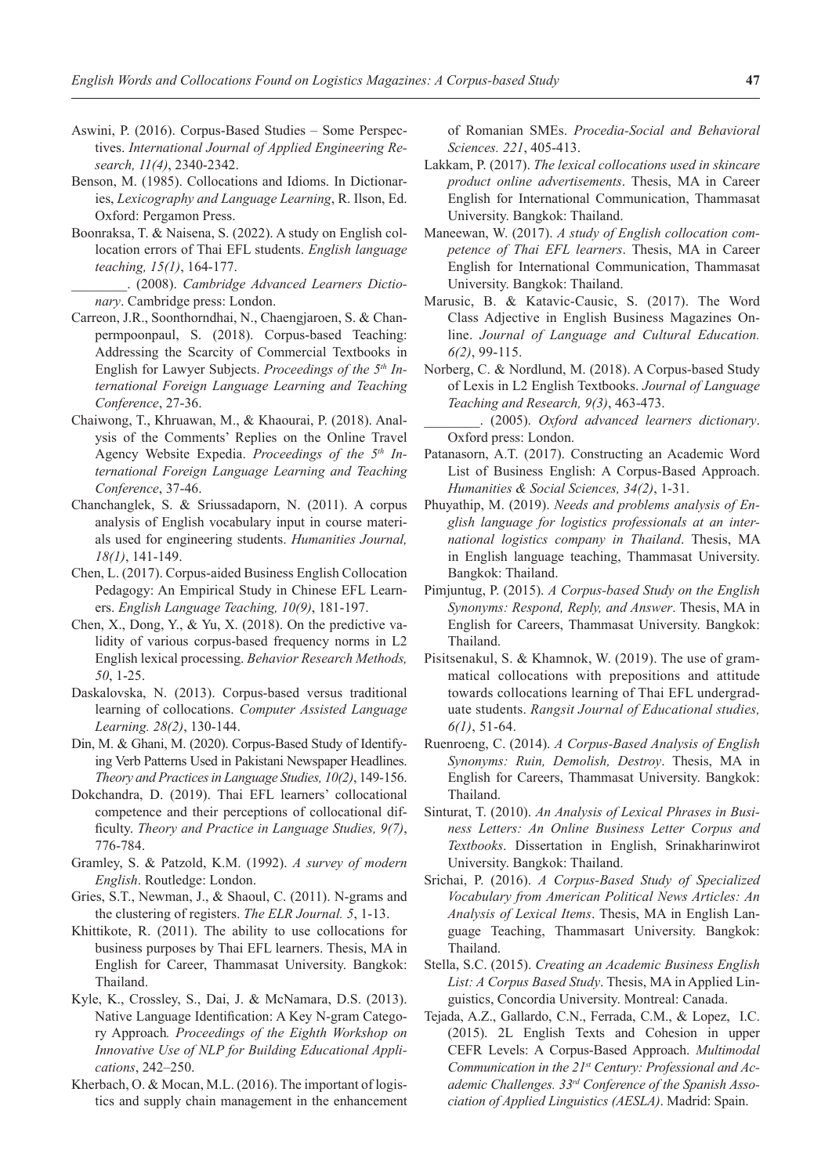- Aswini, P. (2016). Corpus-Based Studies Some Perspectives. *International Journal of Applied Engineering Research, 11(4)*, 2340-2342.
- Benson, M. (1985). Collocations and Idioms. In Dictionaries, *Lexicography and Language Learning*, R. Ilson, Ed. Oxford: Pergamon Press.
- Boonraksa, T. & Naisena, S. (2022). A study on English collocation errors of Thai EFL students. *English language teaching, 15(1)*, 164-177.
- \_\_\_\_\_\_\_\_. (2008). *Cambridge Advanced Learners Dictionary*. Cambridge press: London.
- Carreon, J.R., Soonthorndhai, N., Chaengjaroen, S. & Chanpermpoonpaul, S. (2018). Corpus-based Teaching: Addressing the Scarcity of Commercial Textbooks in English for Lawyer Subjects. *Proceedings of the 5th International Foreign Language Learning and Teaching Conference*, 27-36.
- Chaiwong, T., Khruawan, M., & Khaourai, P. (2018). Analysis of the Comments' Replies on the Online Travel Agency Website Expedia. *Proceedings of the 5th International Foreign Language Learning and Teaching Conference*, 37-46.
- Chanchanglek, S. & Sriussadaporn, N. (2011). A corpus analysis of English vocabulary input in course materials used for engineering students. *Humanities Journal, 18(1)*, 141-149.
- Chen, L. (2017). Corpus-aided Business English Collocation Pedagogy: An Empirical Study in Chinese EFL Learners. *English Language Teaching, 10(9)*, 181-197.
- Chen, X., Dong, Y., & Yu, X. (2018). On the predictive validity of various corpus-based frequency norms in L2 English lexical processing. *Behavior Research Methods, 50*, 1-25.
- Daskalovska, N. (2013). Corpus-based versus traditional learning of collocations. *Computer Assisted Language Learning. 28(2)*, 130-144.
- Din, M. & Ghani, M. (2020). Corpus-Based Study of Identifying Verb Patterns Used in Pakistani Newspaper Headlines. *Theory and Practices in Language Studies, 10(2)*, 149-156.
- Dokchandra, D. (2019). Thai EFL learners' collocational competence and their perceptions of collocational difficulty. *Theory and Practice in Language Studies, 9(7)*, 776-784.
- Gramley, S. & Patzold, K.M. (1992). *A survey of modern English*. Routledge: London.
- Gries, S.T., Newman, J., & Shaoul, C. (2011). N-grams and the clustering of registers. *The ELR Journal. 5*, 1-13.
- Khittikote, R. (2011). The ability to use collocations for business purposes by Thai EFL learners. Thesis, MA in English for Career, Thammasat University. Bangkok: Thailand.
- Kyle, K., Crossley, S., Dai, J. & McNamara, D.S. (2013). Native Language Identification: A Key N-gram Category Approach*. Proceedings of the Eighth Workshop on Innovative Use of NLP for Building Educational Applications*, 242–250.
- Kherbach, O. & Mocan, M.L. (2016). The important of logistics and supply chain management in the enhancement

of Romanian SMEs. *Procedia-Social and Behavioral Sciences. 221*, 405-413.

- Lakkam, P. (2017). *The lexical collocations used in skincare product online advertisements*. Thesis, MA in Career English for International Communication, Thammasat University. Bangkok: Thailand.
- Maneewan, W. (2017). *A study of English collocation competence of Thai EFL learners*. Thesis, MA in Career English for International Communication, Thammasat University. Bangkok: Thailand.
- Marusic, B. & Katavic-Causic, S. (2017). The Word Class Adjective in English Business Magazines Online. *Journal of Language and Cultural Education. 6(2)*, 99-115.
- Norberg, C. & Nordlund, M. (2018). A Corpus-based Study of Lexis in L2 English Textbooks. *Journal of Language Teaching and Research, 9(3)*, 463-473.
	- \_\_\_\_\_\_\_\_. (2005). *Oxford advanced learners dictionary*. Oxford press: London.
- Patanasorn, A.T. (2017). Constructing an Academic Word List of Business English: A Corpus-Based Approach. *Humanities & Social Sciences, 34(2)*, 1-31.
- Phuyathip, M. (2019). *Needs and problems analysis of English language for logistics professionals at an international logistics company in Thailand*. Thesis, MA in English language teaching, Thammasat University. Bangkok: Thailand.
- Pimjuntug, P. (2015). *A Corpus-based Study on the English Synonyms: Respond, Reply, and Answer*. Thesis, MA in English for Careers, Thammasat University. Bangkok: Thailand.
- Pisitsenakul, S. & Khamnok, W. (2019). The use of grammatical collocations with prepositions and attitude towards collocations learning of Thai EFL undergraduate students. *Rangsit Journal of Educational studies, 6(1)*, 51-64.
- Ruenroeng, C. (2014). *A Corpus-Based Analysis of English Synonyms: Ruin, Demolish, Destroy*. Thesis, MA in English for Careers, Thammasat University. Bangkok: Thailand.
- Sinturat, T. (2010). *An Analysis of Lexical Phrases in Business Letters: An Online Business Letter Corpus and Textbooks*. Dissertation in English, Srinakharinwirot University. Bangkok: Thailand.
- Srichai, P. (2016). *A Corpus-Based Study of Specialized Vocabulary from American Political News Articles: An Analysis of Lexical Items*. Thesis, MA in English Language Teaching, Thammasart University. Bangkok: Thailand.
- Stella, S.C. (2015). *Creating an Academic Business English List: A Corpus Based Study*. Thesis, MA in Applied Linguistics, Concordia University. Montreal: Canada.
- Tejada, A.Z., Gallardo, C.N., Ferrada, C.M., & Lopez, I.C. (2015). 2L English Texts and Cohesion in upper CEFR Levels: A Corpus-Based Approach. *Multimodal Communication in the 21st Century: Professional and Academic Challenges. 33rd Conference of the Spanish Association of Applied Linguistics (AESLA)*. Madrid: Spain.